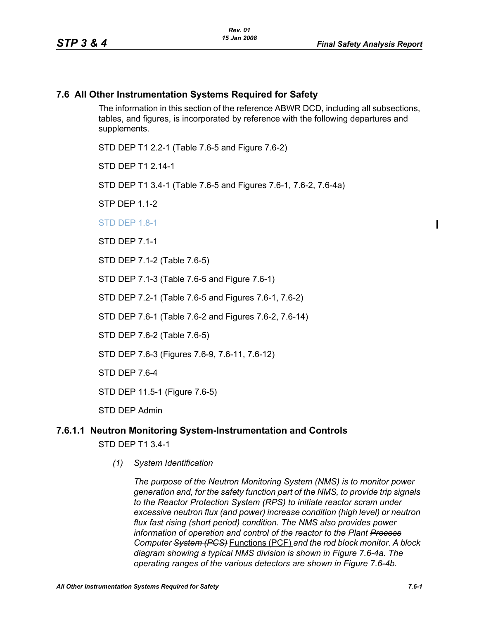## **7.6 All Other Instrumentation Systems Required for Safety**

The information in this section of the reference ABWR DCD, including all subsections, tables, and figures, is incorporated by reference with the following departures and supplements.

STD DEP T1 2.2-1 (Table 7.6-5 and Figure 7.6-2)

STD DFP T1 2 14-1

STD DEP T1 3.4-1 (Table 7.6-5 and Figures 7.6-1, 7.6-2, 7.6-4a)

STP DEP 1.1-2

**STD DEP 1.8-1** 

STD DEP 7.1-1

STD DEP 7.1-2 (Table 7.6-5)

STD DEP 7.1-3 (Table 7.6-5 and Figure 7.6-1)

STD DEP 7.2-1 (Table 7.6-5 and Figures 7.6-1, 7.6-2)

STD DEP 7.6-1 (Table 7.6-2 and Figures 7.6-2, 7.6-14)

STD DEP 7.6-2 (Table 7.6-5)

STD DEP 7.6-3 (Figures 7.6-9, 7.6-11, 7.6-12)

STD DEP 7.6-4

STD DEP 11.5-1 (Figure 7.6-5)

STD DEP Admin

# **7.6.1.1 Neutron Monitoring System-Instrumentation and Controls** STD DEP T1 3.4-1

*(1) System Identification*

*The purpose of the Neutron Monitoring System (NMS) is to monitor power generation and, for the safety function part of the NMS, to provide trip signals to the Reactor Protection System (RPS) to initiate reactor scram under excessive neutron flux (and power) increase condition (high level) or neutron flux fast rising (short period) condition. The NMS also provides power information of operation and control of the reactor to the Plant Process Computer System (PCS)* Functions (PCF) *and the rod block monitor. A block diagram showing a typical NMS division is shown in Figure 7.6-4a. The operating ranges of the various detectors are shown in Figure 7.6-4b.*

 $\blacksquare$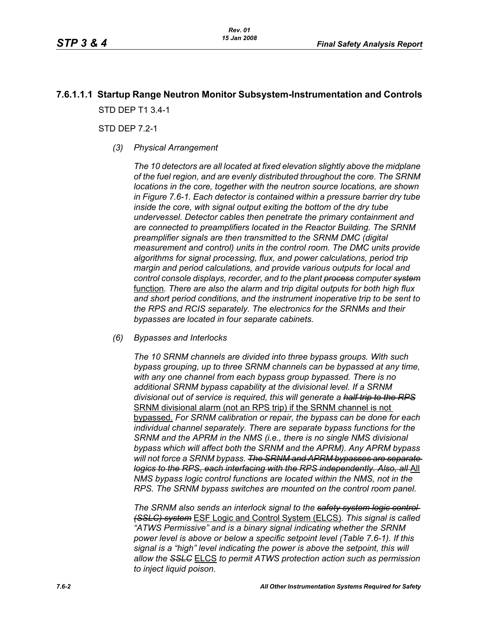# **7.6.1.1.1 Startup Range Neutron Monitor Subsystem-Instrumentation and Controls** STD DEP T1 3.4-1

STD DFP 7 2-1

*(3) Physical Arrangement*

*The 10 detectors are all located at fixed elevation slightly above the midplane of the fuel region, and are evenly distributed throughout the core. The SRNM locations in the core, together with the neutron source locations, are shown in Figure 7.6-1. Each detector is contained within a pressure barrier dry tube inside the core, with signal output exiting the bottom of the dry tube undervessel. Detector cables then penetrate the primary containment and are connected to preamplifiers located in the Reactor Building. The SRNM preamplifier signals are then transmitted to the SRNM DMC (digital measurement and control) units in the control room. The DMC units provide algorithms for signal processing, flux, and power calculations, period trip margin and period calculations, and provide various outputs for local and control console displays, recorder, and to the plant process computer system* function*. There are also the alarm and trip digital outputs for both high flux and short period conditions, and the instrument inoperative trip to be sent to the RPS and RCIS separately. The electronics for the SRNMs and their bypasses are located in four separate cabinets.*

*(6) Bypasses and Interlocks*

*The 10 SRNM channels are divided into three bypass groups. With such bypass grouping, up to three SRNM channels can be bypassed at any time, with any one channel from each bypass group bypassed. There is no additional SRNM bypass capability at the divisional level. If a SRNM divisional out of service is required, this will generate a half trip to the RPS* SRNM divisional alarm (not an RPS trip) if the SRNM channel is not bypassed. *For SRNM calibration or repair, the bypass can be done for each individual channel separately. There are separate bypass functions for the SRNM and the APRM in the NMS (i.e., there is no single NMS divisional bypass which will affect both the SRNM and the APRM). Any APRM bypass will not force a SRNM bypass. The SRNM and APRM bypasses are separate logics to the RPS, each interfacing with the RPS independently. Also, all*-All *NMS bypass logic control functions are located within the NMS, not in the RPS. The SRNM bypass switches are mounted on the control room panel.*

*The SRNM also sends an interlock signal to the safety system logic control (SSLC) system* ESF Logic and Control System (ELCS)*. This signal is called "ATWS Permissive" and is a binary signal indicating whether the SRNM power level is above or below a specific setpoint level (Table 7.6-1). If this signal is a "high" level indicating the power is above the setpoint, this will allow the SSLC* ELCS *to permit ATWS protection action such as permission to inject liquid poison.*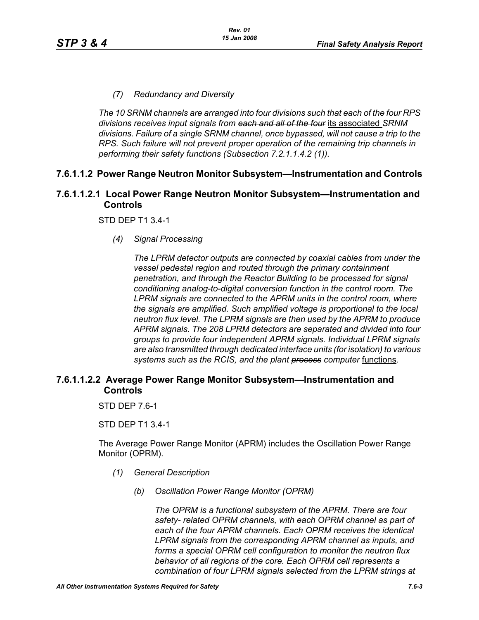## *(7) Redundancy and Diversity*

*The 10 SRNM channels are arranged into four divisions such that each of the four RPS divisions receives input signals from each and all of the four* its associated *SRNM divisions. Failure of a single SRNM channel, once bypassed, will not cause a trip to the RPS. Such failure will not prevent proper operation of the remaining trip channels in performing their safety functions (Subsection 7.2.1.1.4.2 (1)).*

## **7.6.1.1.2 Power Range Neutron Monitor Subsystem—Instrumentation and Controls**

## **7.6.1.1.2.1 Local Power Range Neutron Monitor Subsystem—Instrumentation and Controls**

STD DEP T1 3.4-1

*(4) Signal Processing*

*The LPRM detector outputs are connected by coaxial cables from under the vessel pedestal region and routed through the primary containment penetration, and through the Reactor Building to be processed for signal conditioning analog-to-digital conversion function in the control room. The LPRM signals are connected to the APRM units in the control room, where the signals are amplified. Such amplified voltage is proportional to the local neutron flux level. The LPRM signals are then used by the APRM to produce APRM signals. The 208 LPRM detectors are separated and divided into four groups to provide four independent APRM signals. Individual LPRM signals are also transmitted through dedicated interface units (for isolation) to various systems such as the RCIS, and the plant process computer* functions*.*

## **7.6.1.1.2.2 Average Power Range Monitor Subsystem—Instrumentation and Controls**

STD DEP 7.6-1

STD DEP T1 3.4-1

The Average Power Range Monitor (APRM) includes the Oscillation Power Range Monitor (OPRM).

- *(1) General Description*
	- *(b) Oscillation Power Range Monitor (OPRM)*

*The OPRM is a functional subsystem of the APRM. There are four safety- related OPRM channels, with each OPRM channel as part of each of the four APRM channels. Each OPRM receives the identical LPRM signals from the corresponding APRM channel as inputs, and forms a special OPRM cell configuration to monitor the neutron flux behavior of all regions of the core. Each OPRM cell represents a combination of four LPRM signals selected from the LPRM strings at*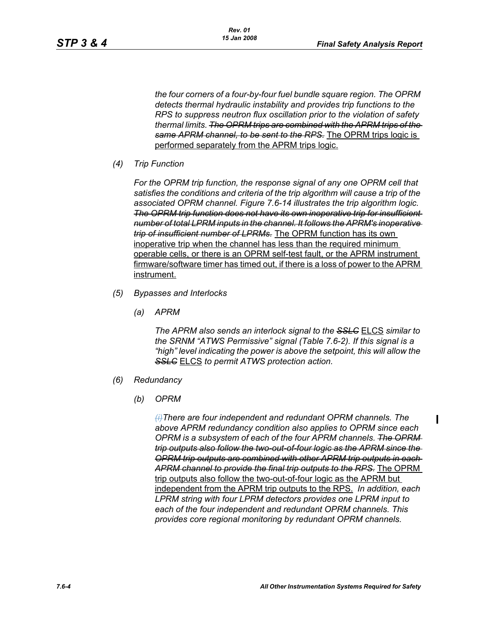*the four corners of a four-by-four fuel bundle square region. The OPRM detects thermal hydraulic instability and provides trip functions to the RPS to suppress neutron flux oscillation prior to the violation of safety thermal limits. The OPRM trips are combined with the APRM trips of the same APRM channel, to be sent to the RPS.* The OPRM trips logic is performed separately from the APRM trips logic.

*(4) Trip Function*

*For the OPRM trip function, the response signal of any one OPRM cell that satisfies the conditions and criteria of the trip algorithm will cause a trip of the associated OPRM channel. Figure 7.6-14 illustrates the trip algorithm logic. The OPRM trip function does not have its own inoperative trip for insufficient number of total LPRM inputs in the channel. It follows the APRM's inoperative trip of insufficient number of LPRMs.* The OPRM function has its own inoperative trip when the channel has less than the required minimum operable cells, or there is an OPRM self-test fault, or the APRM instrument firmware/software timer has timed out, if there is a loss of power to the APRM instrument.

- *(5) Bypasses and Interlocks*
	- *(a) APRM*

*The APRM also sends an interlock signal to the SSLC* ELCS *similar to the SRNM "ATWS Permissive" signal (Table 7.6-2). If this signal is a "high" level indicating the power is above the setpoint, this will allow the SSLC* ELCS *to permit ATWS protection action.*

- *(6) Redundancy*
	- *(b) OPRM*

*(i)There are four independent and redundant OPRM channels. The above APRM redundancy condition also applies to OPRM since each OPRM is a subsystem of each of the four APRM channels. The OPRM trip outputs also follow the two-out-of-four logic as the APRM since the OPRM trip outputs are combined with other APRM trip outputs in each APRM channel to provide the final trip outputs to the RPS.* The OPRM trip outputs also follow the two-out-of-four logic as the APRM but independent from the APRM trip outputs to the RPS. *In addition, each LPRM string with four LPRM detectors provides one LPRM input to each of the four independent and redundant OPRM channels. This provides core regional monitoring by redundant OPRM channels.*

 $\blacksquare$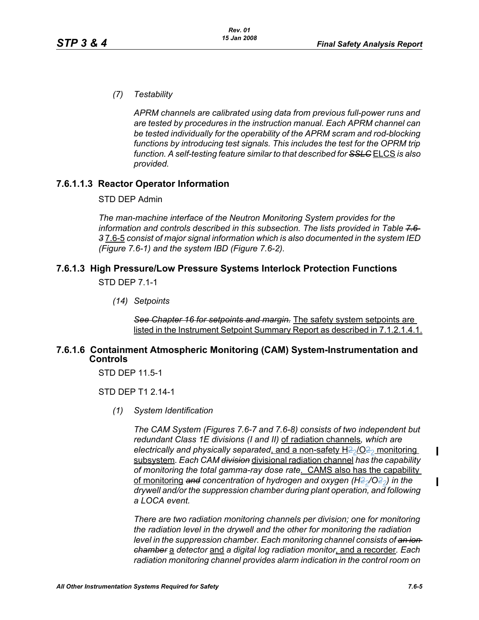*(7) Testability*

*APRM channels are calibrated using data from previous full-power runs and are tested by procedures in the instruction manual. Each APRM channel can be tested individually for the operability of the APRM scram and rod-blocking*  functions by introducing test signals. This includes the test for the OPRM trip *function. A self-testing feature similar to that described for SSLC* ELCS *is also provided.*

## **7.6.1.1.3 Reactor Operator Information**

STD DEP Admin

*The man-machine interface of the Neutron Monitoring System provides for the information and controls described in this subsection. The lists provided in Table 7.6- 3* 7.6-5 *consist of major signal information which is also documented in the system IED (Figure 7.6-1) and the system IBD (Figure 7.6-2).*

# **7.6.1.3 High Pressure/Low Pressure Systems Interlock Protection Functions**

STD DEP 7.1-1

*(14) Setpoints*

*See Chapter 16 for setpoints and margin.* The safety system setpoints are listed in the Instrument Setpoint Summary Report as described in 7.1.2.1.4.1.

### **7.6.1.6 Containment Atmospheric Monitoring (CAM) System-Instrumentation and Controls**

STD DEP 11.5-1

STD DFP T1 2 14-1

*(1) System Identification*

*The CAM System (Figures 7.6-7 and 7.6-8) consists of two independent but redundant Class 1E divisions (I and II)* of radiation channels*, which are*  electrically and physically separated, and a non-safety H<sub>22</sub>/O<sub>22</sub> monitoring subsystem*. Each CAM division* divisional radiation channel *has the capability of monitoring the total gamma-ray dose rate*. CAMS also has the capability of monitoring and concentration of hydrogen and oxygen (H<sub>2</sub>/O<sub>22</sub>) in the *drywell and/or the suppression chamber during plant operation, and following a LOCA event.* 

*There are two radiation monitoring channels per division; one for monitoring the radiation level in the drywell and the other for monitoring the radiation level in the suppression chamber. Each monitoring channel consists of an ion chamber* a *detector* and *a digital log radiation monitor*, and a recorder*. Each radiation monitoring channel provides alarm indication in the control room on* 

П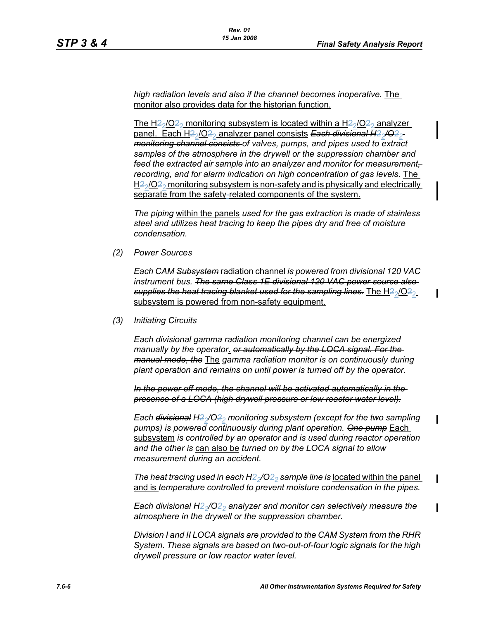*high radiation levels and also if the channel becomes inoperative.* The monitor also provides data for the historian function.

The H<sub>2</sub> $/$ O<sub>2</sub><sup>2</sup> monitoring subsystem is located within a H<sub>2</sub> $/$ O<sub>2</sub><sup>2</sup> analyzer panel. Each H<sub>2</sub><sup>2</sup>/O<sub>2</sub><sup>2</sup> analyzer panel consists Each divisional H<sub>2</sub><sup>2</sup>/O<sub>2</sub><sup>2</sup> *monitoring channel consists of valves, pumps, and pipes used to extract samples of the atmosphere in the drywell or the suppression chamber and*  feed the extracted air sample into an analyzer and monitor for measurement*recording, and for alarm indication on high concentration of gas levels.* The  $H_2^2$ /O<sub>22</sub> monitoring subsystem is non-safety and is physically and electrically separate from the safety-related components of the system.

*The piping* within the panels *used for the gas extraction is made of stainless steel and utilizes heat tracing to keep the pipes dry and free of moisture condensation.*

*(2) Power Sources*

*Each CAM Subsystem* radiation channel *is powered from divisional 120 VAC instrument bus. The same Class 1E divisional 120 VAC power source also*  supplies the heat tracing blanket used for the sampling lines. The H2<sub>2</sub>/O<sub>22</sub> subsystem is powered from non-safety equipment.

*(3) Initiating Circuits*

*Each divisional gamma radiation monitoring channel can be energized manually by the operator*. *or automatically by the LOCA signal. For the manual mode, the* The *gamma radiation monitor is on continuously during plant operation and remains on until power is turned off by the operator.*

*In the power off mode, the channel will be activated automatically in the presence of a LOCA (high drywell pressure or low reactor water level).*

*Each <del>divisional</del> H<sub>2</sub><sup>* $/$ *</sup>O<sub>2</sub><sup>2</sup></sub> monitoring subsystem (except for the two sampling pumps) is powered continuously during plant operation. One pump* Each subsystem *is controlled by an operator and is used during reactor operation and the other is* can also be *turned on by the LOCA signal to allow measurement during an accident.*

*The heat tracing used in each H<del>2</del><sub>2</sub>/O<del>2</del><sub>2</sub> sample line is <u>located within the panel</u>* and is *temperature controlled to prevent moisture condensation in the pipes.* 

*Each divisional H22/O22 analyzer and monitor can selectively measure the atmosphere in the drywell or the suppression chamber.*

*Division I and II LOCA signals are provided to the CAM System from the RHR System. These signals are based on two-out-of-four logic signals for the high drywell pressure or low reactor water level.*

 $\mathbf I$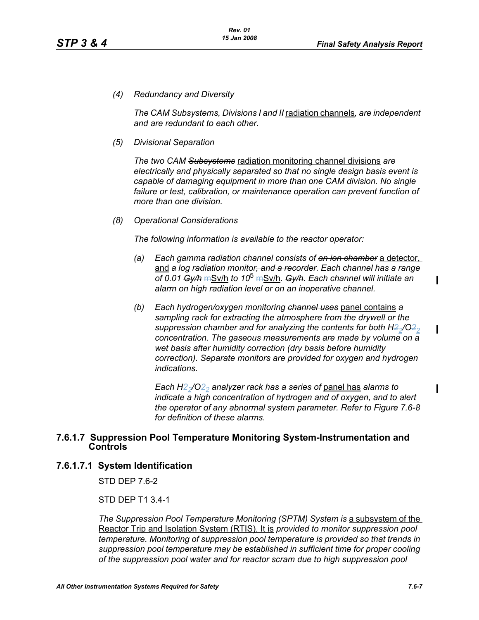*(4) Redundancy and Diversity*

*The CAM Subsystems, Divisions I and II* radiation channels*, are independent and are redundant to each other.*

*(5) Divisional Separation*

*The two CAM Subsystems* radiation monitoring channel divisions *are electrically and physically separated so that no single design basis event is capable of damaging equipment in more than one CAM division. No single failure or test, calibration, or maintenance operation can prevent function of more than one division.*

*(8) Operational Considerations*

*The following information is available to the reactor operator:*

- *(a) Each gamma radiation channel consists of an ion chamber* a detector, and *a log radiation monitor, and a recorder. Each channel has a range of 0.01 Gy/h* mSv/h *to 10*<sup>5</sup> mSv/h*. Gy/h. Each channel will initiate an alarm on high radiation level or on an inoperative channel.*
- *(b) Each hydrogen/oxygen monitoring channel uses* panel contains *a sampling rack for extracting the atmosphere from the drywell or the suppression chamber and for analyzing the contents for both H2<sub>2</sub>/O<sub>2</sub><sup>2</sup></sup> concentration. The gaseous measurements are made by volume on a wet basis after humidity correction (dry basis before humidity correction). Separate monitors are provided for oxygen and hydrogen indications.*

*Each H22/O22 analyzer rack has a series of* panel has *alarms to indicate a high concentration of hydrogen and of oxygen, and to alert the operator of any abnormal system parameter. Refer to Figure 7.6-8 for definition of these alarms.*

#### **7.6.1.7 Suppression Pool Temperature Monitoring System-Instrumentation and Controls**

#### **7.6.1.7.1 System Identification**

STD DEP 7.6-2

STD DEP T1 3.4-1

*The Suppression Pool Temperature Monitoring (SPTM) System is a subsystem of the* Reactor Trip and Isolation System (RTIS). It is *provided to monitor suppression pool temperature. Monitoring of suppression pool temperature is provided so that trends in suppression pool temperature may be established in sufficient time for proper cooling of the suppression pool water and for reactor scram due to high suppression pool* 

П

П

 $\blacksquare$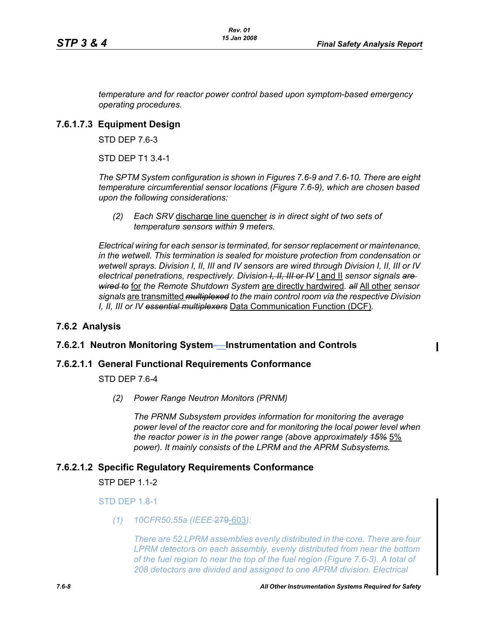*temperature and for reactor power control based upon symptom-based emergency operating procedures.*

## **7.6.1.7.3 Equipment Design**

STD DEP 7.6-3

STD DEP T1 3.4-1

*The SPTM System configuration is shown in Figures 7.6-9 and 7.6-10. There are eight temperature circumferential sensor locations (Figure 7.6-9), which are chosen based upon the following considerations:*

*(2) Each SRV* discharge line quencher *is in direct sight of two sets of temperature sensors within 9 meters.*

*Electrical wiring for each sensor is terminated, for sensor replacement or maintenance, in the wetwell. This termination is sealed for moisture protection from condensation or wetwell sprays. Division I, II, III and IV sensors are wired through Division I, II, III or IV electrical penetrations, respectively. Division I, II, III or IV* I and II *sensor signals are wired to* for *the Remote Shutdown System* are directly hardwired*. all* All other *sensor signals* are transmitted *multiplexed to the main control room via the respective Division I, II, III or IV essential multiplexers* Data Communication Function (DCF)*.*

## **7.6.2 Analysis**

## **7.6.2.1 Neutron Monitoring System-—Instrumentation and Controls**

### **7.6.2.1.1 General Functional Requirements Conformance**

STD DEP 7.6-4

*(2) Power Range Neutron Monitors (PRNM)*

*The PRNM Subsystem provides information for monitoring the average*  power level of the reactor core and for monitoring the local power level when *the reactor power is in the power range (above approximately 15%* 5% *power). It mainly consists of the LPRM and the APRM Subsystems.*

### **7.6.2.1.2 Specific Regulatory Requirements Conformance**

STP DEP 1.1-2

STD DEP 1.8-1

*(1) 10CFR50.55a (IEEE* 279-603*):*

*There are 52 LPRM assemblies evenly distributed in the core. There are four LPRM detectors on each assembly, evenly distributed from near the bottom of the fuel region to near the top of the fuel region (Figure 7.6-3). A total of 208 detectors are divided and assigned to one APRM division. Electrical*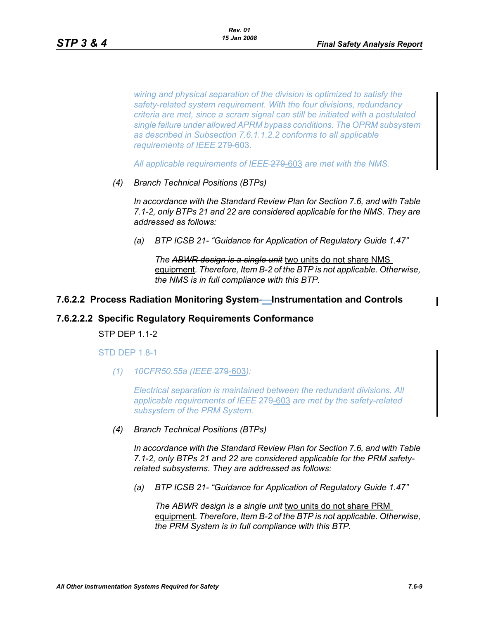*wiring and physical separation of the division is optimized to satisfy the safety-related system requirement. With the four divisions, redundancy criteria are met, since a scram signal can still be initiated with a postulated single failure under allowed APRM bypass conditions. The OPRM subsystem as described in Subsection 7.6.1.1.2.2 conforms to all applicable requirements of IEEE-279-603.* 

*All applicable requirements of IEEE* 279-603 *are met with the NMS.*

*(4) Branch Technical Positions (BTPs)* 

*In accordance with the Standard Review Plan for Section 7.6, and with Table 7.1-2, only BTPs 21 and 22 are considered applicable for the NMS. They are addressed as follows:* 

*(a) BTP ICSB 21- "Guidance for Application of Regulatory Guide 1.47"* 

*The ABWR design is a single unit* two units do not share NMS equipment*. Therefore, Item B-2 of the BTP is not applicable. Otherwise, the NMS is in full compliance with this BTP.* 

#### **7.6.2.2 Process Radiation Monitoring System-—Instrumentation and Controls**

#### **7.6.2.2.2 Specific Regulatory Requirements Conformance**

STP DEP 1.1-2

STD DEP 1.8-1

*(1) 10CFR50.55a (IEEE* 279-603*):*

*Electrical separation is maintained between the redundant divisions. All applicable requirements of IEEE* 279-603 *are met by the safety-related subsystem of the PRM System.*

*(4) Branch Technical Positions (BTPs)* 

*In accordance with the Standard Review Plan for Section 7.6, and with Table 7.1-2, only BTPs 21 and 22 are considered applicable for the PRM safetyrelated subsystems. They are addressed as follows:* 

*(a) BTP ICSB 21- "Guidance for Application of Regulatory Guide 1.47"*

*The ABWR design is a single unit* two units do not share PRM equipment*. Therefore, Item B-2 of the BTP is not applicable. Otherwise, the PRM System is in full compliance with this BTP.*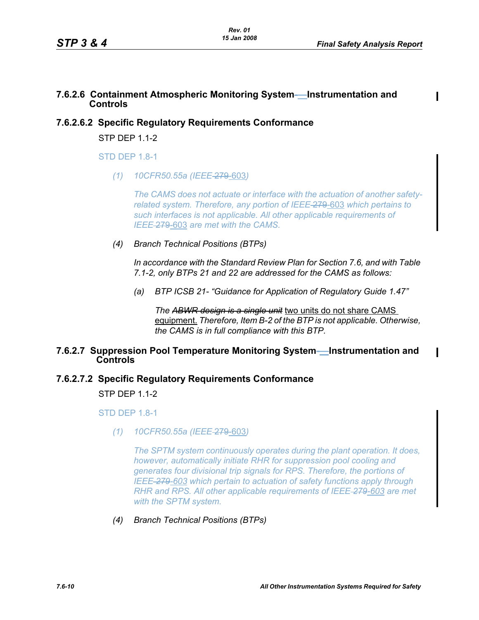## **7.6.2.6 Containment Atmospheric Monitoring System-—Instrumentation and Controls**

## **7.6.2.6.2 Specific Regulatory Requirements Conformance**

STP DEP 1.1-2

**STD DFP 1.8-1** 

*(1) 10CFR50.55a (IEEE* 279-603*)*

*The CAMS does not actuate or interface with the actuation of another safetyrelated system. Therefore, any portion of IEEE* 279-603 *which pertains to such interfaces is not applicable. All other applicable requirements of IEEE* 279-603 *are met with the CAMS.*

*(4) Branch Technical Positions (BTPs)* 

*In accordance with the Standard Review Plan for Section 7.6, and with Table 7.1-2, only BTPs 21 and 22 are addressed for the CAMS as follows:* 

*(a) BTP ICSB 21- "Guidance for Application of Regulatory Guide 1.47"*

*The ABWR design is a single unit* two units do not share CAMS equipment. *Therefore, Item B-2 of the BTP is not applicable. Otherwise, the CAMS is in full compliance with this BTP.* 

## **7.6.2.7 Suppression Pool Temperature Monitoring System-—Instrumentation and Controls**

## **7.6.2.7.2 Specific Regulatory Requirements Conformance**

 $STP$  DEP 11-2

STD DEP 1.8-1

*(1) 10CFR50.55a (IEEE* 279-603*)*

*The SPTM system continuously operates during the plant operation. It does, however, automatically initiate RHR for suppression pool cooling and generates four divisional trip signals for RPS. Therefore, the portions of IEEE 279-603 which pertain to actuation of safety functions apply through RHR and RPS. All other applicable requirements of IEEE 279-603 are met with the SPTM system.*

*(4) Branch Technical Positions (BTPs)*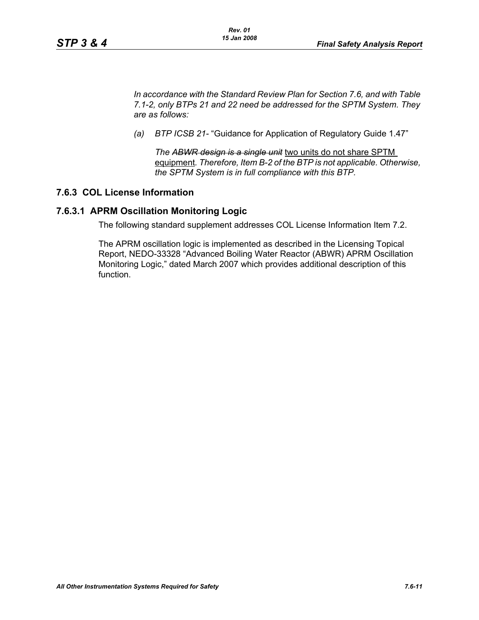*In accordance with the Standard Review Plan for Section 7.6, and with Table 7.1-2, only BTPs 21 and 22 need be addressed for the SPTM System. They are as follows:*

*(a) BTP ICSB 21-* "Guidance for Application of Regulatory Guide 1.47"

*The ABWR design is a single unit* two units do not share SPTM equipment*. Therefore, Item B-2 of the BTP is not applicable. Otherwise, the SPTM System is in full compliance with this BTP.*

## **7.6.3 COL License Information**

### **7.6.3.1 APRM Oscillation Monitoring Logic**

The following standard supplement addresses COL License Information Item 7.2.

The APRM oscillation logic is implemented as described in the Licensing Topical Report, NEDO-33328 "Advanced Boiling Water Reactor (ABWR) APRM Oscillation Monitoring Logic," dated March 2007 which provides additional description of this function.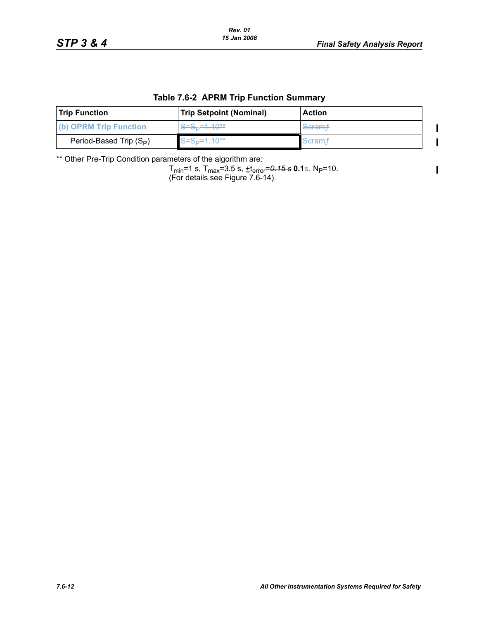$\mathbf I$  $\blacksquare$ 

 $\mathbf{I}$ 

### **Table 7.6-2 APRM Trip Function Summary**

| <b>Trip Function</b>      | <b>Trip Setpoint (Nominal)</b> | <b>Action</b>      |
|---------------------------|--------------------------------|--------------------|
| (b) OPRM Trip Function    | $S = S_D = 1.10**$             | Scram <sub>†</sub> |
| Period-Based Trip $(S_P)$ | $S = SD=1.10**$                | <b>Scram</b>       |

\*\* Other Pre-Trip Condition parameters of the algorithm are:

Tmin=1 s, Tmax=3.5 s, +terror=*0.15 s* **0.1s,** NP=10. (For details see Figure 7.6-14).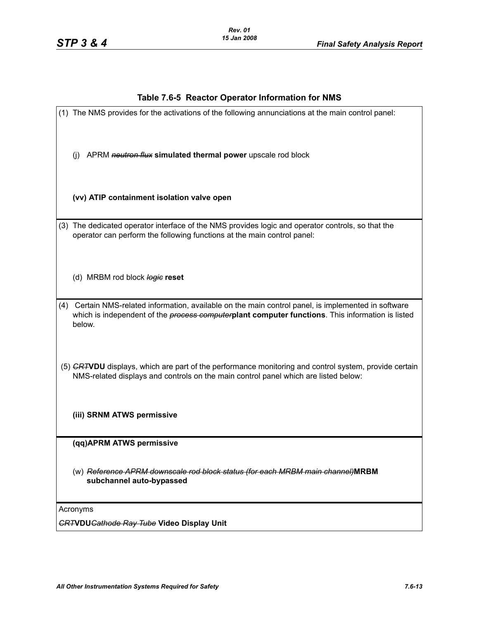## **Table 7.6-5 Reactor Operator Information for NMS**

| (1) The NMS provides for the activations of the following annunciations at the main control panel:                                                                                                                         |
|----------------------------------------------------------------------------------------------------------------------------------------------------------------------------------------------------------------------------|
| APRM neutron flux simulated thermal power upscale rod block<br>(i)                                                                                                                                                         |
| (vv) ATIP containment isolation valve open                                                                                                                                                                                 |
| (3) The dedicated operator interface of the NMS provides logic and operator controls, so that the<br>operator can perform the following functions at the main control panel:                                               |
| (d) MRBM rod block logie reset                                                                                                                                                                                             |
| (4) Certain NMS-related information, available on the main control panel, is implemented in software<br>which is independent of the <i>process computer</i> plant computer functions. This information is listed<br>below. |
| (5) GRTVDU displays, which are part of the performance monitoring and control system, provide certain<br>NMS-related displays and controls on the main control panel which are listed below:                               |
| (iii) SRNM ATWS permissive                                                                                                                                                                                                 |
| (qq)APRM ATWS permissive                                                                                                                                                                                                   |
| (w) Reference APRM downscale rod block status (for each MRBM main channel)MRBM<br>subchannel auto-bypassed                                                                                                                 |
| Acronyms<br><b>CRTVDUCathode Ray Tube Video Display Unit</b>                                                                                                                                                               |
|                                                                                                                                                                                                                            |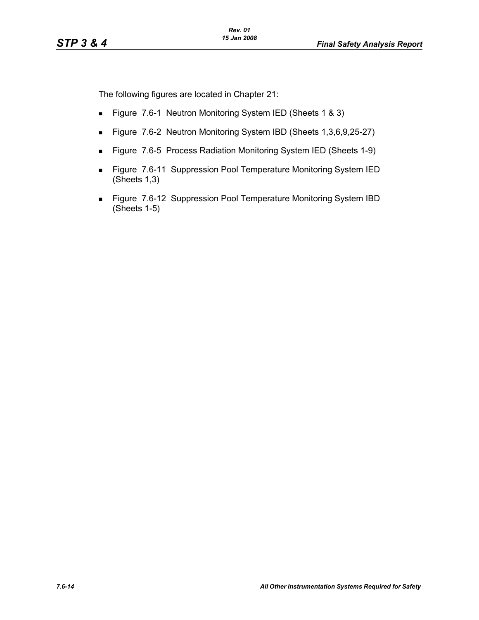The following figures are located in Chapter 21:

- Figure 7.6-1 Neutron Monitoring System IED (Sheets 1 & 3)
- Figure 7.6-2 Neutron Monitoring System IBD (Sheets 1,3,6,9,25-27)
- Figure 7.6-5 Process Radiation Monitoring System IED (Sheets 1-9)
- **Figure 7.6-11 Suppression Pool Temperature Monitoring System IED** (Sheets 1,3)
- **Figure 7.6-12 Suppression Pool Temperature Monitoring System IBD** (Sheets 1-5)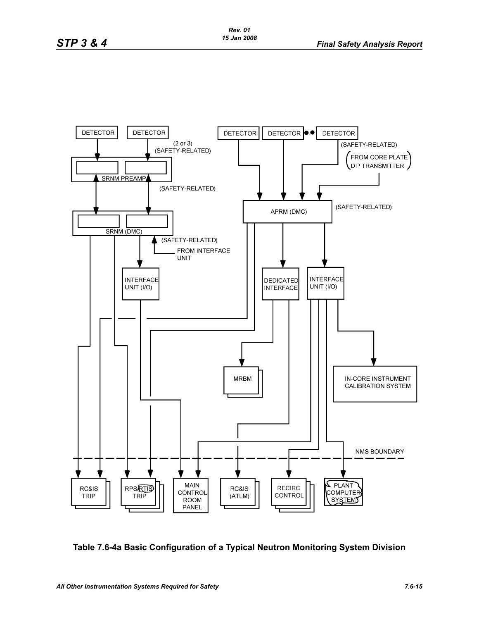

**Table 7.6-4a Basic Configuration of a Typical Neutron Monitoring System Division**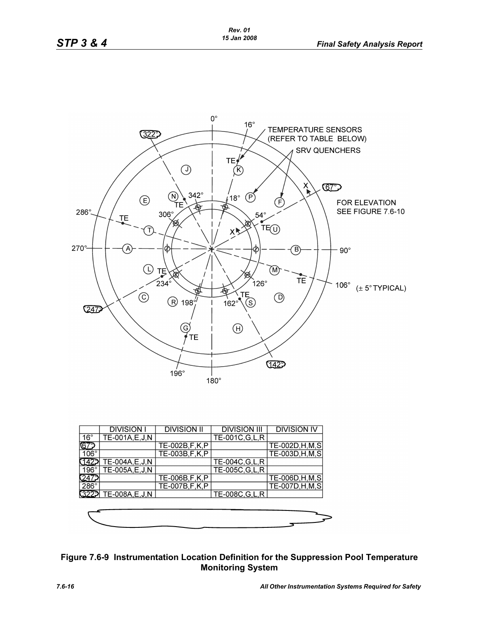

|              | <b>DIVISION I</b>    | <b>DIVISION II</b> | <b>DIVISION III</b> | <b>DIVISION IV</b> |
|--------------|----------------------|--------------------|---------------------|--------------------|
| $16^{\circ}$ | TE-001A,E,J,N        |                    | TE-001C, G, L, R    |                    |
|              |                      | TE-002B, F, K, P   |                     | TE-002D, H, M, S   |
| $106^\circ$  |                      | TE-003B, F, K, P   |                     | TE-003D, H, M, S   |
|              | TE-004A, E, J, N     |                    | TE-004C, G, L, R    |                    |
| $196^\circ$  | TE-005A,E,J,N        |                    | TE-005C, G, L, R    |                    |
|              |                      | TE-006B,F,K,P      |                     | TE-006D, H, M, S   |
| $286^\circ$  |                      | TE-007B, F, K, P   |                     | TE-007D, H, M, S   |
|              | 322 TE-008A, E, J, N |                    | TE-008C, G, L, R    |                    |
|              |                      |                    |                     |                    |



# **Figure 7.6-9 Instrumentation Location Definition for the Suppression Pool Temperature Monitoring System**